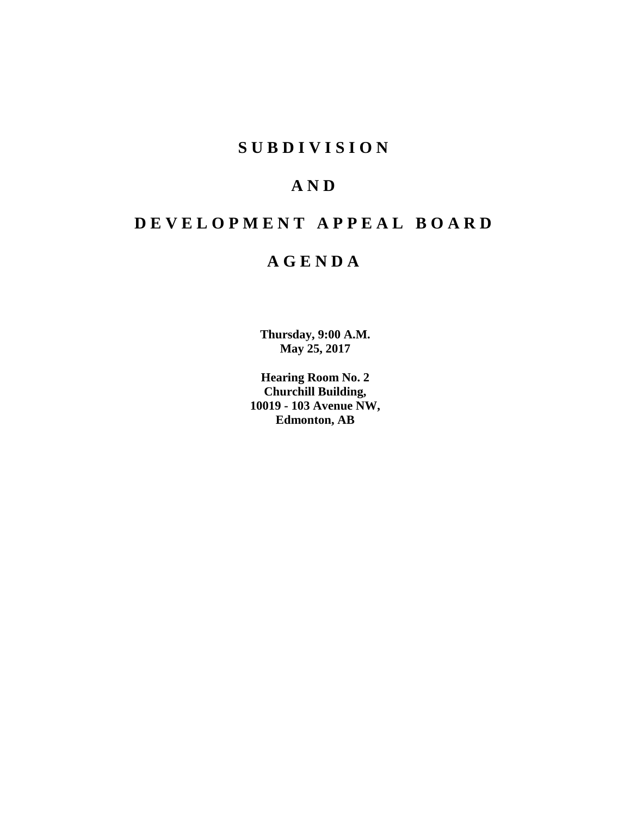# **S U B D I V I S I O N**

# **A N D**

# **D E V E L O P M E N T A P P E A L B O A R D**

# **A G E N D A**

**Thursday, 9:00 A.M. May 25, 2017**

**Hearing Room No. 2 Churchill Building, 10019 - 103 Avenue NW, Edmonton, AB**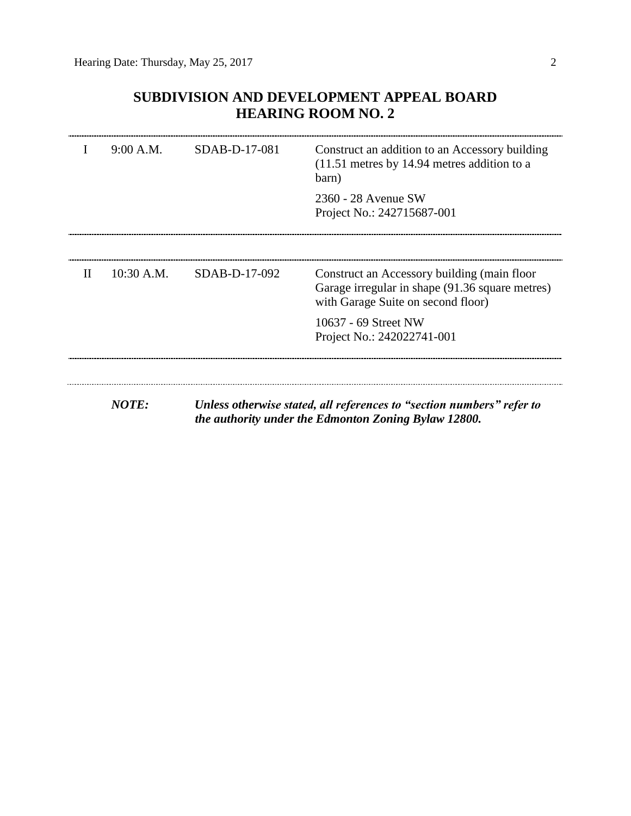## **SUBDIVISION AND DEVELOPMENT APPEAL BOARD HEARING ROOM NO. 2**

|              | 9:00 A.M.    | SDAB-D-17-081 | Construct an addition to an Accessory building<br>$(11.51$ metres by 14.94 metres addition to a<br>barn)                             |
|--------------|--------------|---------------|--------------------------------------------------------------------------------------------------------------------------------------|
|              |              |               | 2360 - 28 Avenue SW<br>Project No.: 242715687-001                                                                                    |
|              |              |               |                                                                                                                                      |
| $\mathbf{H}$ | $10:30$ A.M. | SDAB-D-17-092 | Construct an Accessory building (main floor<br>Garage irregular in shape (91.36 square metres)<br>with Garage Suite on second floor) |
|              |              |               | 10637 - 69 Street NW<br>Project No.: 242022741-001                                                                                   |
|              |              |               |                                                                                                                                      |
|              | <b>NOTE:</b> |               | Unless otherwise stated, all references to "section numbers" refer to<br>the authority under the Edmonton Zoning Bylaw 12800.        |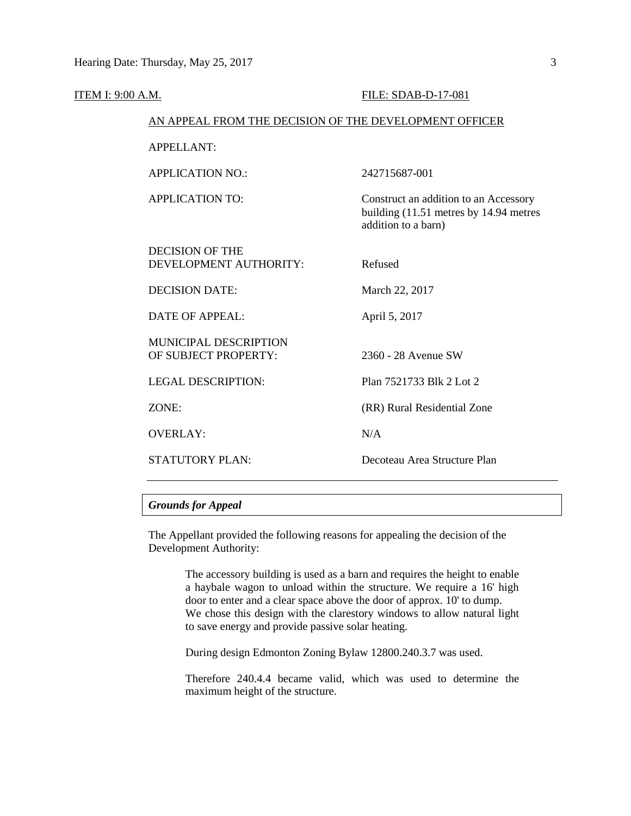| ITEM I: 9:00 A.M. |                                                        | FILE: SDAB-D-17-081                                                                                    |
|-------------------|--------------------------------------------------------|--------------------------------------------------------------------------------------------------------|
|                   | AN APPEAL FROM THE DECISION OF THE DEVELOPMENT OFFICER |                                                                                                        |
|                   | <b>APPELLANT:</b>                                      |                                                                                                        |
|                   | <b>APPLICATION NO.:</b>                                | 242715687-001                                                                                          |
|                   | <b>APPLICATION TO:</b>                                 | Construct an addition to an Accessory<br>building (11.51 metres by 14.94 metres<br>addition to a barn) |
|                   | <b>DECISION OF THE</b><br>DEVELOPMENT AUTHORITY:       | Refused                                                                                                |
|                   | <b>DECISION DATE:</b>                                  | March 22, 2017                                                                                         |
|                   | <b>DATE OF APPEAL:</b>                                 | April 5, 2017                                                                                          |
|                   | <b>MUNICIPAL DESCRIPTION</b><br>OF SUBJECT PROPERTY:   | 2360 - 28 Avenue SW                                                                                    |
|                   | <b>LEGAL DESCRIPTION:</b>                              | Plan 7521733 Blk 2 Lot 2                                                                               |
|                   | ZONE:                                                  | (RR) Rural Residential Zone                                                                            |
|                   | <b>OVERLAY:</b>                                        | N/A                                                                                                    |
|                   | <b>STATUTORY PLAN:</b>                                 | Decoteau Area Structure Plan                                                                           |
|                   |                                                        |                                                                                                        |

## *Grounds for Appeal*

The Appellant provided the following reasons for appealing the decision of the Development Authority:

> The accessory building is used as a barn and requires the height to enable a haybale wagon to unload within the structure. We require a 16' high door to enter and a clear space above the door of approx. 10' to dump. We chose this design with the clarestory windows to allow natural light to save energy and provide passive solar heating.

During design Edmonton Zoning Bylaw 12800.240.3.7 was used.

Therefore 240.4.4 became valid, which was used to determine the maximum height of the structure.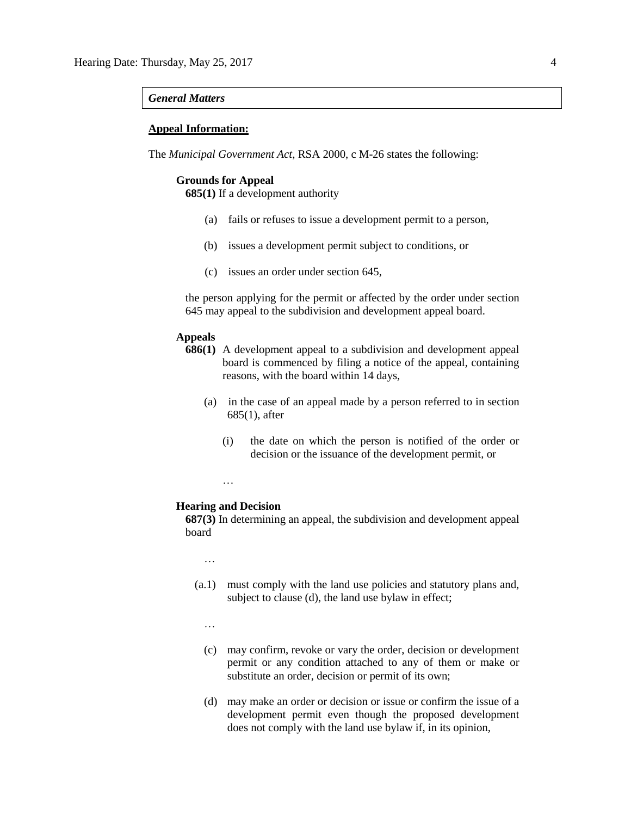#### *General Matters*

### **Appeal Information:**

The *Municipal Government Act*, RSA 2000, c M-26 states the following:

## **Grounds for Appeal**

**685(1)** If a development authority

- (a) fails or refuses to issue a development permit to a person,
- (b) issues a development permit subject to conditions, or
- (c) issues an order under section 645,

the person applying for the permit or affected by the order under section 645 may appeal to the subdivision and development appeal board.

## **Appeals**

- **686(1)** A development appeal to a subdivision and development appeal board is commenced by filing a notice of the appeal, containing reasons, with the board within 14 days,
	- (a) in the case of an appeal made by a person referred to in section 685(1), after
		- (i) the date on which the person is notified of the order or decision or the issuance of the development permit, or

…

#### **Hearing and Decision**

**687(3)** In determining an appeal, the subdivision and development appeal board

…

- (a.1) must comply with the land use policies and statutory plans and, subject to clause (d), the land use bylaw in effect;
	- …
	- (c) may confirm, revoke or vary the order, decision or development permit or any condition attached to any of them or make or substitute an order, decision or permit of its own;
	- (d) may make an order or decision or issue or confirm the issue of a development permit even though the proposed development does not comply with the land use bylaw if, in its opinion,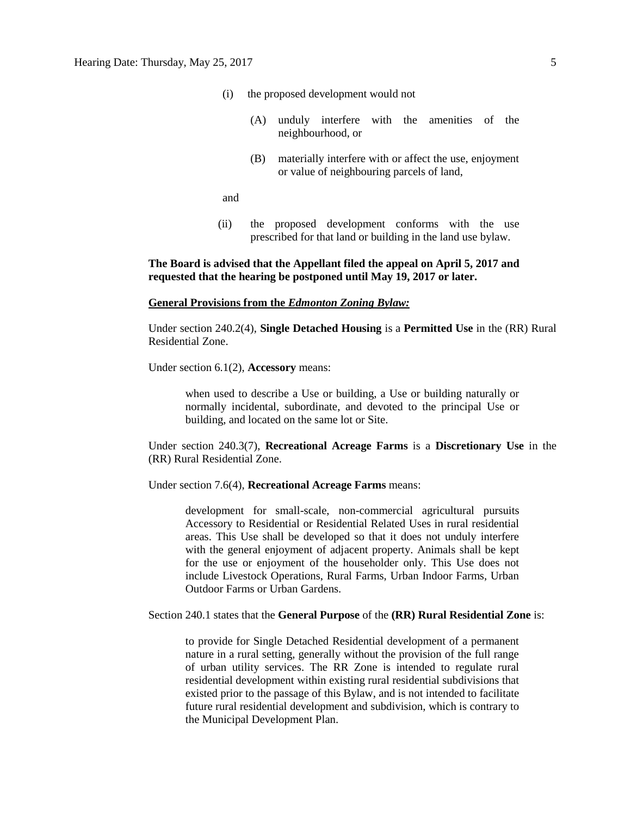- (i) the proposed development would not
	- (A) unduly interfere with the amenities of the neighbourhood, or
	- (B) materially interfere with or affect the use, enjoyment or value of neighbouring parcels of land,

and

(ii) the proposed development conforms with the use prescribed for that land or building in the land use bylaw.

## **The Board is advised that the Appellant filed the appeal on April 5, 2017 and requested that the hearing be postponed until May 19, 2017 or later.**

#### **General Provisions from the** *Edmonton Zoning Bylaw:*

Under section 240.2(4), **Single Detached Housing** is a **Permitted Use** in the (RR) Rural Residential Zone.

Under section 6.1(2), **Accessory** means:

when used to describe a Use or building, a Use or building naturally or normally incidental, subordinate, and devoted to the principal Use or building, and located on the same lot or Site.

Under section 240.3(7), **Recreational Acreage Farms** is a **Discretionary Use** in the (RR) Rural Residential Zone.

Under section 7.6(4), **Recreational Acreage Farms** means:

development for small-scale, non-commercial agricultural pursuits Accessory to Residential or Residential Related Uses in rural residential areas. This Use shall be developed so that it does not unduly interfere with the general enjoyment of adjacent property. Animals shall be kept for the use or enjoyment of the householder only. This Use does not include Livestock Operations, Rural Farms, Urban Indoor Farms, Urban Outdoor Farms or Urban Gardens.

Section 240.1 states that the **General Purpose** of the **(RR) Rural Residential Zone** is:

to provide for Single Detached Residential development of a permanent nature in a rural setting, generally without the provision of the full range of urban utility services. The RR Zone is intended to regulate rural residential development within existing rural residential subdivisions that existed prior to the passage of this Bylaw, and is not intended to facilitate future rural residential development and subdivision, which is contrary to the Municipal Development Plan.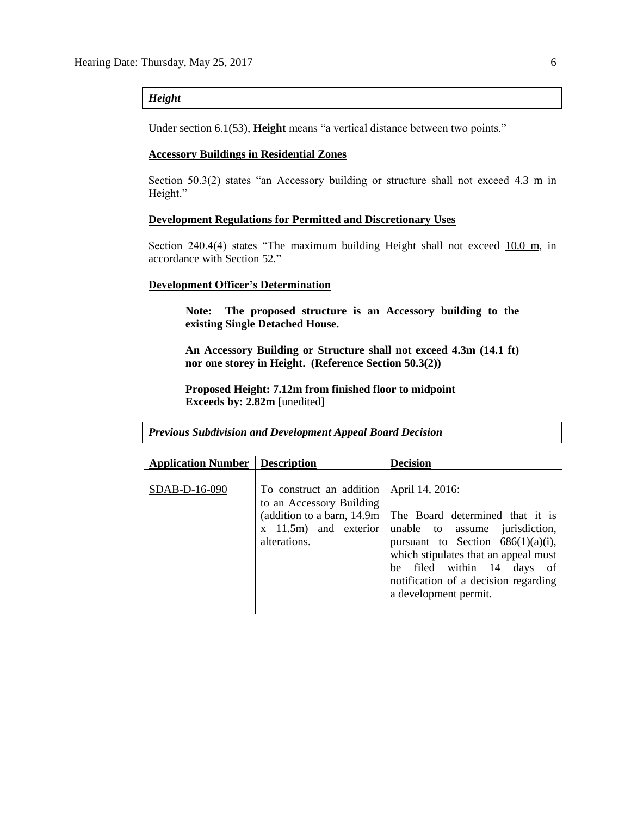## *Height*

Under section 6.1(53), **Height** means "a vertical distance between two points."

#### **Accessory Buildings in Residential Zones**

Section 50.3(2) states "an Accessory building or structure shall not exceed  $4.3$  m in Height."

#### **Development Regulations for Permitted and Discretionary Uses**

Section 240.4(4) states "The maximum building Height shall not exceed  $10.0 \text{ m}$ , in accordance with Section 52."

#### **Development Officer's Determination**

**Note: The proposed structure is an Accessory building to the existing Single Detached House.**

**An Accessory Building or Structure shall not exceed 4.3m (14.1 ft) nor one storey in Height. (Reference Section 50.3(2))**

**Proposed Height: 7.12m from finished floor to midpoint Exceeds by: 2.82m** [unedited]

*Previous Subdivision and Development Appeal Board Decision*

| <b>Application Number   Description</b> |                                                                                                                                | <b>Decision</b>                                                                                                                                                                                                                                                     |
|-----------------------------------------|--------------------------------------------------------------------------------------------------------------------------------|---------------------------------------------------------------------------------------------------------------------------------------------------------------------------------------------------------------------------------------------------------------------|
| SDAB-D-16-090                           | To construct an addition<br>to an Accessory Building<br>(addition to a barn, 14.9m)<br>$x$ 11.5m) and exterior<br>alterations. | April 14, 2016:<br>The Board determined that it is<br>unable to assume jurisdiction,<br>pursuant to Section $686(1)(a)(i)$ ,<br>which stipulates that an appeal must<br>be filed within 14 days of<br>notification of a decision regarding<br>a development permit. |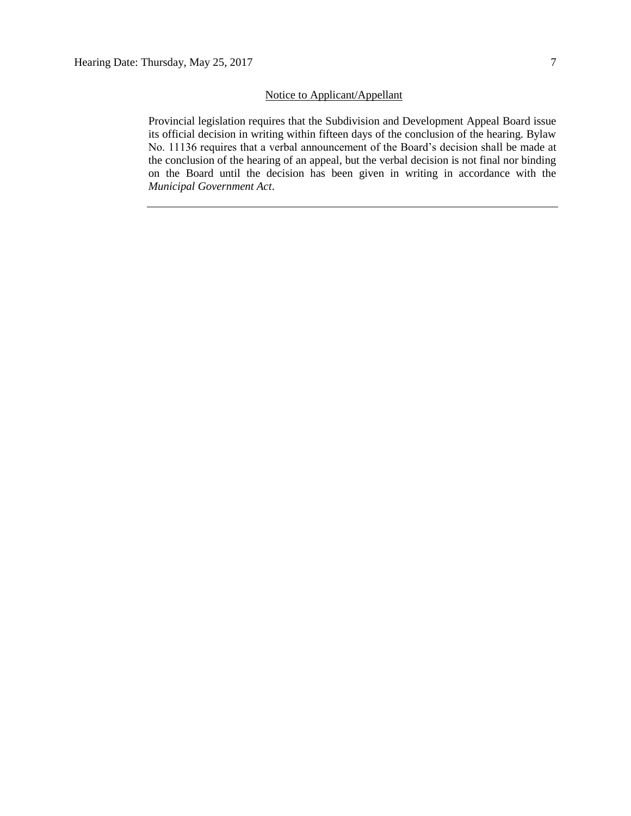## Notice to Applicant/Appellant

Provincial legislation requires that the Subdivision and Development Appeal Board issue its official decision in writing within fifteen days of the conclusion of the hearing. Bylaw No. 11136 requires that a verbal announcement of the Board's decision shall be made at the conclusion of the hearing of an appeal, but the verbal decision is not final nor binding on the Board until the decision has been given in writing in accordance with the *Municipal Government Act*.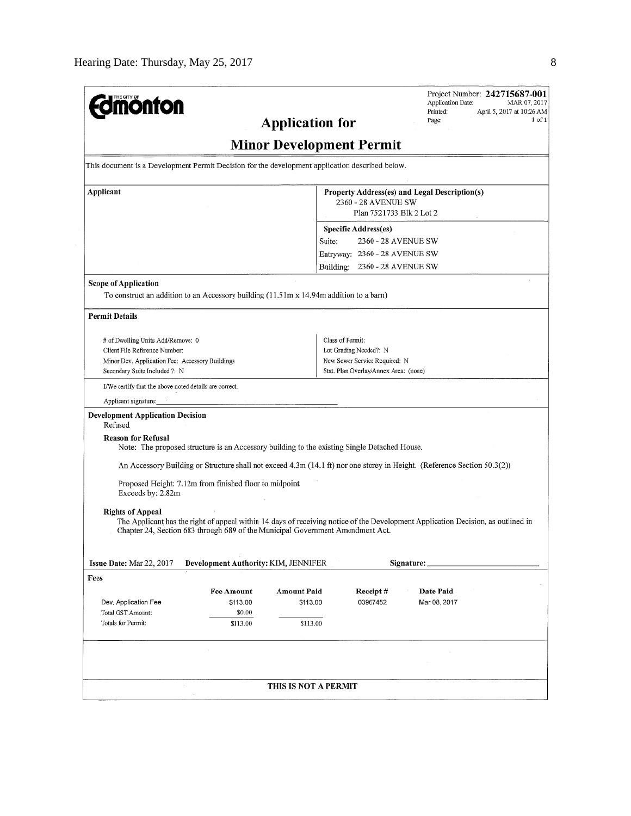| <b>nonfon</b>                                                                                                 |                                                                                              | <b>Application for</b>                                                                           |                                       | Project Number: 242715687-001<br>Application Date:<br>MAR 07, 2017<br>Printed:<br>April 5, 2017 at 10:26 AM<br>$1$ of $1$<br>Page: |  |  |
|---------------------------------------------------------------------------------------------------------------|----------------------------------------------------------------------------------------------|--------------------------------------------------------------------------------------------------|---------------------------------------|------------------------------------------------------------------------------------------------------------------------------------|--|--|
|                                                                                                               |                                                                                              | <b>Minor Development Permit</b>                                                                  |                                       |                                                                                                                                    |  |  |
| This document is a Development Permit Decision for the development application described below.               |                                                                                              |                                                                                                  |                                       |                                                                                                                                    |  |  |
| Applicant                                                                                                     |                                                                                              | Property Address(es) and Legal Description(s)<br>2360 - 28 AVENUE SW<br>Plan 7521733 Blk 2 Lot 2 |                                       |                                                                                                                                    |  |  |
|                                                                                                               |                                                                                              |                                                                                                  | <b>Specific Address(es)</b>           |                                                                                                                                    |  |  |
|                                                                                                               |                                                                                              | Suite:                                                                                           | 2360 - 28 AVENUE SW                   |                                                                                                                                    |  |  |
|                                                                                                               |                                                                                              |                                                                                                  | Entryway: 2360 - 28 AVENUE SW         |                                                                                                                                    |  |  |
|                                                                                                               |                                                                                              |                                                                                                  | Building: 2360 - 28 AVENUE SW         |                                                                                                                                    |  |  |
| <b>Scope of Application</b>                                                                                   |                                                                                              |                                                                                                  |                                       |                                                                                                                                    |  |  |
| To construct an addition to an Accessory building $(11.51 \text{m} \times 14.94 \text{m})$ addition to a barn |                                                                                              |                                                                                                  |                                       |                                                                                                                                    |  |  |
| <b>Permit Details</b>                                                                                         |                                                                                              |                                                                                                  |                                       |                                                                                                                                    |  |  |
| # of Dwelling Units Add/Remove: 0                                                                             |                                                                                              |                                                                                                  | Class of Permit:                      |                                                                                                                                    |  |  |
| Client File Reference Number:                                                                                 |                                                                                              |                                                                                                  | Lot Grading Needed?: N                |                                                                                                                                    |  |  |
| Minor Dev. Application Fee: Accessory Buildings                                                               |                                                                                              |                                                                                                  | New Sewer Service Required: N         |                                                                                                                                    |  |  |
| Secondary Suite Included ?: N                                                                                 |                                                                                              |                                                                                                  | Stat, Plan Overlay/Annex Area: (none) |                                                                                                                                    |  |  |
| I/We certify that the above noted details are correct.                                                        |                                                                                              |                                                                                                  |                                       |                                                                                                                                    |  |  |
| Applicant signature:                                                                                          |                                                                                              |                                                                                                  |                                       |                                                                                                                                    |  |  |
| <b>Development Application Decision</b><br>Refused                                                            |                                                                                              |                                                                                                  |                                       |                                                                                                                                    |  |  |
| <b>Reason for Refusal</b>                                                                                     | Note: The proposed structure is an Accessory building to the existing Single Detached House. |                                                                                                  |                                       |                                                                                                                                    |  |  |
|                                                                                                               |                                                                                              |                                                                                                  |                                       | An Accessory Building or Structure shall not exceed 4.3m (14.1 ft) nor one storey in Height. (Reference Section 50.3(2))           |  |  |
| Exceeds by: 2.82m                                                                                             | Proposed Height: 7.12m from finished floor to midpoint                                       |                                                                                                  |                                       |                                                                                                                                    |  |  |
|                                                                                                               |                                                                                              |                                                                                                  |                                       |                                                                                                                                    |  |  |
| <b>Rights of Appeal</b>                                                                                       | Chapter 24, Section 683 through 689 of the Municipal Government Amendment Act.               |                                                                                                  |                                       | The Applicant has the right of appeal within 14 days of receiving notice of the Development Application Decision, as outlined in   |  |  |
| Issue Date: Mar 22, 2017                                                                                      | Development Authority: KIM, JENNIFER                                                         |                                                                                                  |                                       | Signature:                                                                                                                         |  |  |
| Fees                                                                                                          |                                                                                              |                                                                                                  |                                       |                                                                                                                                    |  |  |
|                                                                                                               | <b>Fee Amount</b>                                                                            | <b>Amount Paid</b>                                                                               | Receipt#                              | Date Paid                                                                                                                          |  |  |
| Dev. Application Fee                                                                                          | \$113.00                                                                                     | \$113.00                                                                                         | 03967452                              | Mar 08, 2017                                                                                                                       |  |  |
| Total GST Amount:<br>Totals for Permit:                                                                       | \$0.00<br>\$113.00                                                                           | \$113.00                                                                                         |                                       |                                                                                                                                    |  |  |
|                                                                                                               |                                                                                              |                                                                                                  |                                       |                                                                                                                                    |  |  |
|                                                                                                               |                                                                                              |                                                                                                  |                                       |                                                                                                                                    |  |  |
|                                                                                                               |                                                                                              |                                                                                                  |                                       |                                                                                                                                    |  |  |
|                                                                                                               |                                                                                              | THIS IS NOT A PERMIT                                                                             |                                       |                                                                                                                                    |  |  |
|                                                                                                               |                                                                                              |                                                                                                  |                                       |                                                                                                                                    |  |  |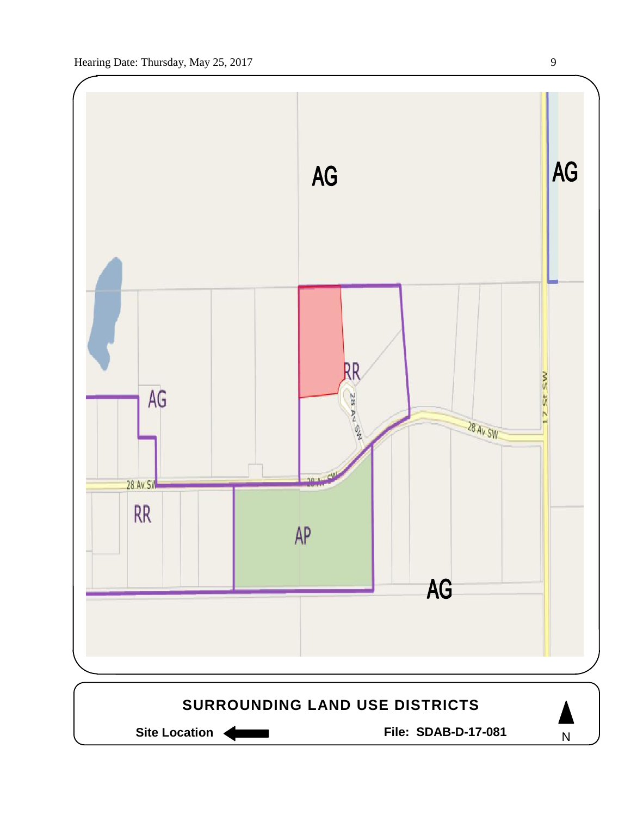

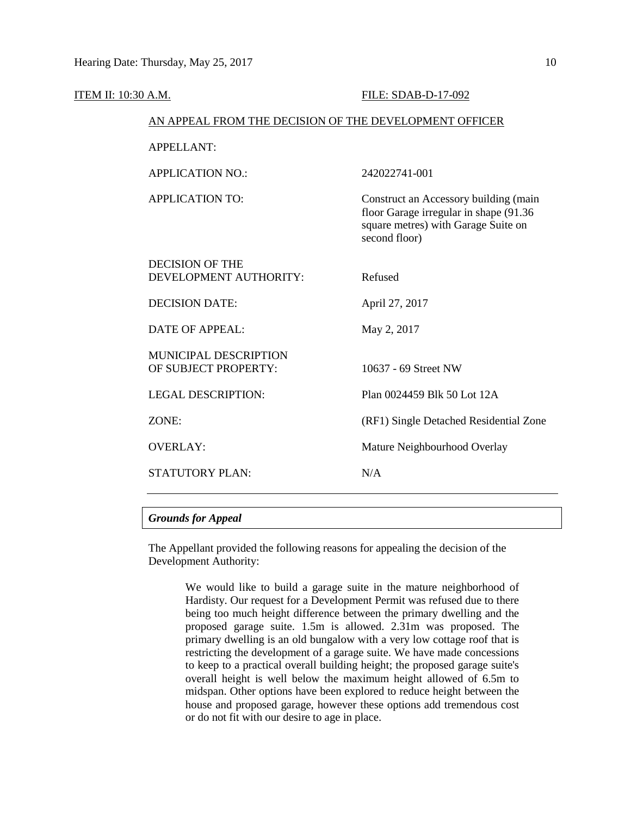| <b>ITEM II: 10:30 A.M.</b> |                                                        | FILE: SDAB-D-17-092                                                                                                                     |  |  |  |
|----------------------------|--------------------------------------------------------|-----------------------------------------------------------------------------------------------------------------------------------------|--|--|--|
|                            | AN APPEAL FROM THE DECISION OF THE DEVELOPMENT OFFICER |                                                                                                                                         |  |  |  |
|                            | <b>APPELLANT:</b>                                      |                                                                                                                                         |  |  |  |
|                            | <b>APPLICATION NO.:</b>                                | 242022741-001                                                                                                                           |  |  |  |
|                            | <b>APPLICATION TO:</b>                                 | Construct an Accessory building (main<br>floor Garage irregular in shape (91.36<br>square metres) with Garage Suite on<br>second floor) |  |  |  |
|                            | <b>DECISION OF THE</b><br>DEVELOPMENT AUTHORITY:       | Refused                                                                                                                                 |  |  |  |
|                            | <b>DECISION DATE:</b>                                  | April 27, 2017                                                                                                                          |  |  |  |
|                            | <b>DATE OF APPEAL:</b>                                 | May 2, 2017                                                                                                                             |  |  |  |
|                            | MUNICIPAL DESCRIPTION<br>OF SUBJECT PROPERTY:          | 10637 - 69 Street NW                                                                                                                    |  |  |  |
|                            | <b>LEGAL DESCRIPTION:</b>                              | Plan 0024459 Blk 50 Lot 12A                                                                                                             |  |  |  |
|                            | ZONE:                                                  | (RF1) Single Detached Residential Zone                                                                                                  |  |  |  |
|                            | <b>OVERLAY:</b>                                        | Mature Neighbourhood Overlay                                                                                                            |  |  |  |
|                            | <b>STATUTORY PLAN:</b>                                 | N/A                                                                                                                                     |  |  |  |
|                            |                                                        |                                                                                                                                         |  |  |  |

## *Grounds for Appeal*

The Appellant provided the following reasons for appealing the decision of the Development Authority:

> We would like to build a garage suite in the mature neighborhood of Hardisty. Our request for a Development Permit was refused due to there being too much height difference between the primary dwelling and the proposed garage suite. 1.5m is allowed. 2.31m was proposed. The primary dwelling is an old bungalow with a very low cottage roof that is restricting the development of a garage suite. We have made concessions to keep to a practical overall building height; the proposed garage suite's overall height is well below the maximum height allowed of 6.5m to midspan. Other options have been explored to reduce height between the house and proposed garage, however these options add tremendous cost or do not fit with our desire to age in place.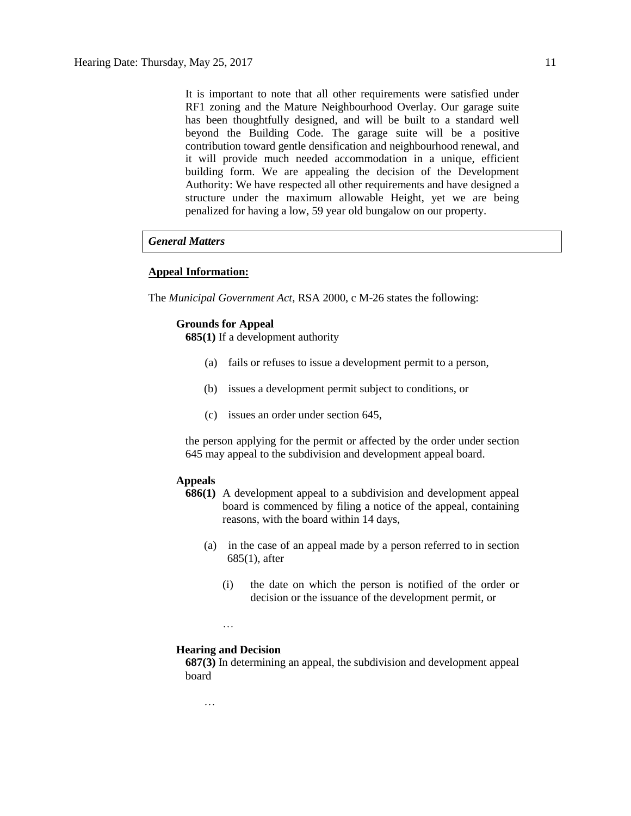It is important to note that all other requirements were satisfied under RF1 zoning and the Mature Neighbourhood Overlay. Our garage suite has been thoughtfully designed, and will be built to a standard well beyond the Building Code. The garage suite will be a positive contribution toward gentle densification and neighbourhood renewal, and it will provide much needed accommodation in a unique, efficient building form. We are appealing the decision of the Development Authority: We have respected all other requirements and have designed a structure under the maximum allowable Height, yet we are being penalized for having a low, 59 year old bungalow on our property.

### *General Matters*

### **Appeal Information:**

The *Municipal Government Act*, RSA 2000, c M-26 states the following:

#### **Grounds for Appeal**

**685(1)** If a development authority

- (a) fails or refuses to issue a development permit to a person,
- (b) issues a development permit subject to conditions, or
- (c) issues an order under section 645,

the person applying for the permit or affected by the order under section 645 may appeal to the subdivision and development appeal board.

## **Appeals**

- **686(1)** A development appeal to a subdivision and development appeal board is commenced by filing a notice of the appeal, containing reasons, with the board within 14 days,
	- (a) in the case of an appeal made by a person referred to in section 685(1), after
		- (i) the date on which the person is notified of the order or decision or the issuance of the development permit, or
		- …

#### **Hearing and Decision**

**687(3)** In determining an appeal, the subdivision and development appeal board

…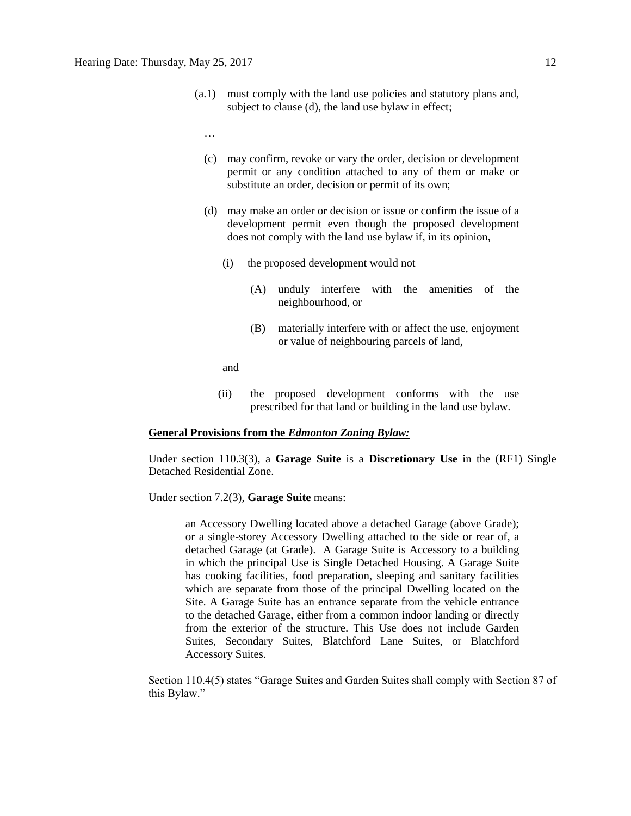(a.1) must comply with the land use policies and statutory plans and, subject to clause (d), the land use bylaw in effect;

…

- (c) may confirm, revoke or vary the order, decision or development permit or any condition attached to any of them or make or substitute an order, decision or permit of its own;
- (d) may make an order or decision or issue or confirm the issue of a development permit even though the proposed development does not comply with the land use bylaw if, in its opinion,
	- (i) the proposed development would not
		- (A) unduly interfere with the amenities of the neighbourhood, or
		- (B) materially interfere with or affect the use, enjoyment or value of neighbouring parcels of land,

and

(ii) the proposed development conforms with the use prescribed for that land or building in the land use bylaw.

### **General Provisions from the** *Edmonton Zoning Bylaw:*

Under section 110.3(3), a **Garage Suite** is a **Discretionary Use** in the (RF1) Single Detached Residential Zone.

Under section 7.2(3), **Garage Suite** means:

an Accessory Dwelling located above a detached Garage (above Grade); or a single-storey Accessory Dwelling attached to the side or rear of, a detached Garage (at Grade). A Garage Suite is Accessory to a building in which the principal Use is Single Detached Housing. A Garage Suite has cooking facilities, food preparation, sleeping and sanitary facilities which are separate from those of the principal Dwelling located on the Site. A Garage Suite has an entrance separate from the vehicle entrance to the detached Garage, either from a common indoor landing or directly from the exterior of the structure. This Use does not include Garden Suites, Secondary Suites, Blatchford Lane Suites, or Blatchford Accessory Suites.

Section 110.4(5) states "Garage Suites and Garden Suites shall comply with Section 87 of this Bylaw."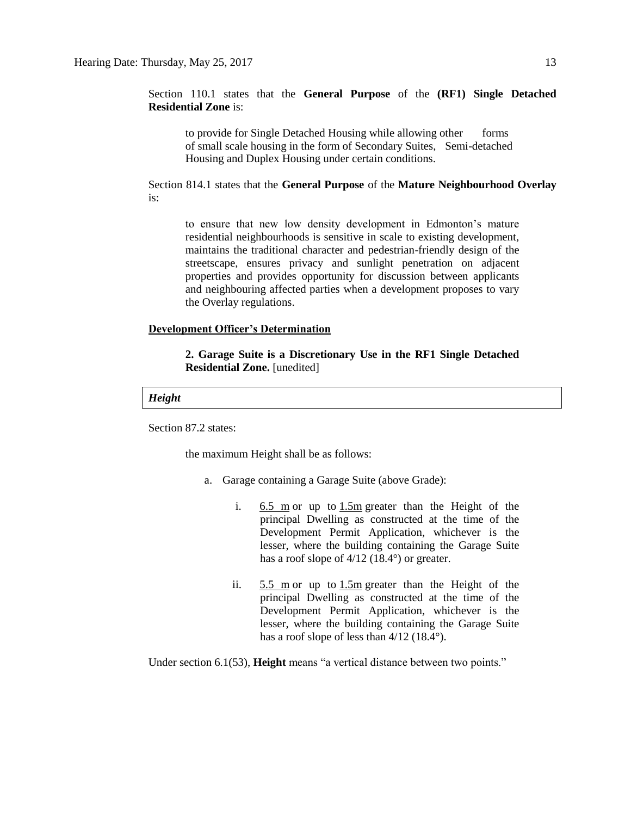Section 110.1 states that the **General Purpose** of the **(RF1) Single Detached Residential Zone** is:

to provide for Single Detached Housing while allowing other forms of small scale housing in the form of Secondary Suites, Semi-detached Housing and Duplex Housing under certain conditions.

Section 814.1 states that the **General Purpose** of the **Mature Neighbourhood Overlay**  is:

to ensure that new low density development in Edmonton's mature residential neighbourhoods is sensitive in scale to existing development, maintains the traditional character and pedestrian-friendly design of the streetscape, ensures privacy and sunlight penetration on adjacent properties and provides opportunity for discussion between applicants and neighbouring affected parties when a development proposes to vary the Overlay regulations.

## **Development Officer's Determination**

**2. Garage Suite is a Discretionary Use in the RF1 Single Detached Residential Zone.** [unedited]

## *Height*

Section 87.2 states:

the maximum Height shall be as follows:

- a. Garage containing a Garage Suite (above Grade):
	- i.  $6.5 \text{ m}$  or up to  $1.5 \text{ m}$  greater than the Height of the principal Dwelling as constructed at the time of the Development Permit Application, whichever is the lesser, where the building containing the Garage Suite has a roof slope of  $4/12$  (18.4°) or greater.
	- ii. [5.5 m](javascript:BSSCPopup() or up to [1.5m](javascript:BSSCPopup() greater than the Height of the principal Dwelling as constructed at the time of the Development Permit Application, whichever is the lesser, where the building containing the Garage Suite has a roof slope of less than  $4/12$  (18.4°).

Under section 6.1(53), **Height** means "a vertical distance between two points."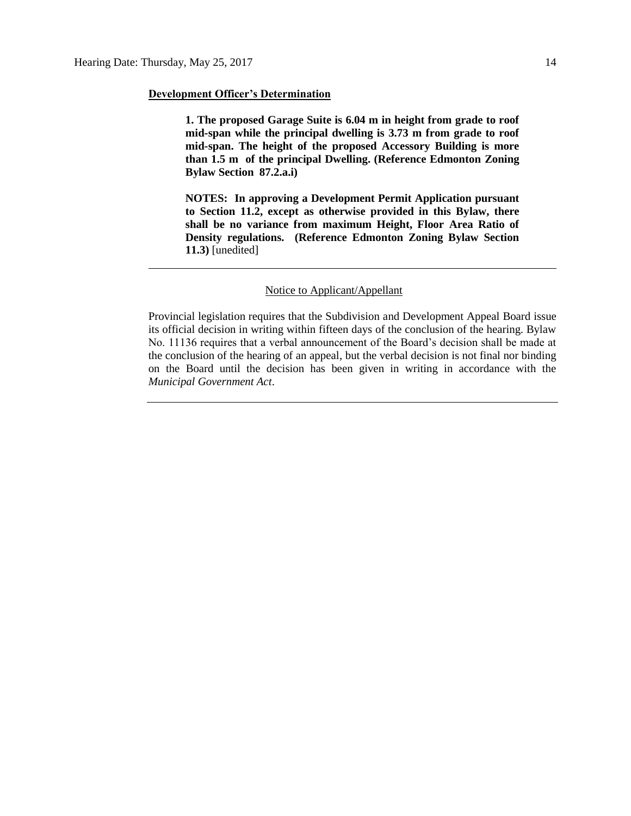#### **Development Officer's Determination**

**1. The proposed Garage Suite is 6.04 m in height from grade to roof mid-span while the principal dwelling is 3.73 m from grade to roof mid-span. The height of the proposed Accessory Building is more than 1.5 m of the principal Dwelling. (Reference Edmonton Zoning Bylaw Section 87.2.a.i)** 

**NOTES: In approving a Development Permit Application pursuant to Section 11.2, except as otherwise provided in this Bylaw, there shall be no variance from maximum Height, Floor Area Ratio of Density regulations. (Reference Edmonton Zoning Bylaw Section 11.3)** [unedited]

## Notice to Applicant/Appellant

Provincial legislation requires that the Subdivision and Development Appeal Board issue its official decision in writing within fifteen days of the conclusion of the hearing. Bylaw No. 11136 requires that a verbal announcement of the Board's decision shall be made at the conclusion of the hearing of an appeal, but the verbal decision is not final nor binding on the Board until the decision has been given in writing in accordance with the *Municipal Government Act*.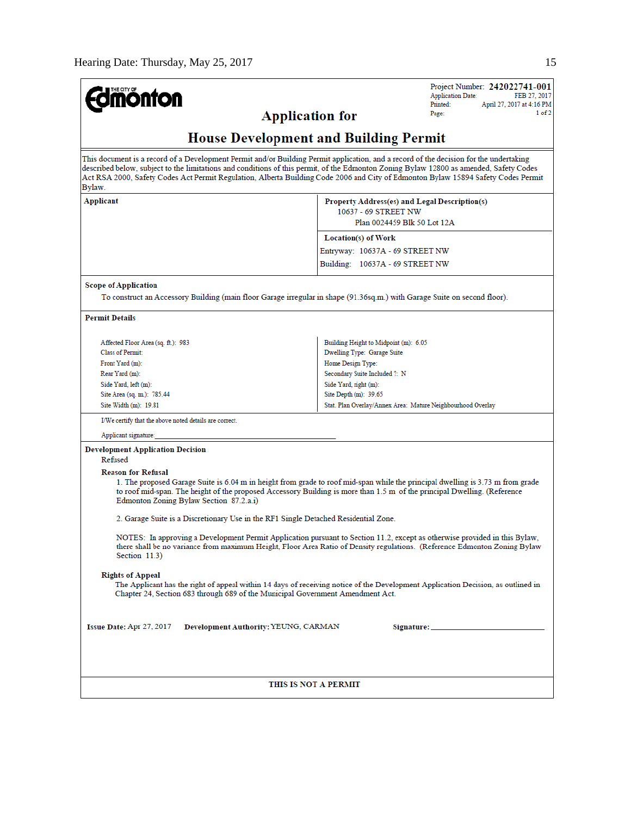| <b>ionton</b>                                                                                                                                               | Project Number: 242022741-001<br><b>Application Date:</b><br>FEB 27, 2017                                                                                                                                                                                                                                                                                                                                             |
|-------------------------------------------------------------------------------------------------------------------------------------------------------------|-----------------------------------------------------------------------------------------------------------------------------------------------------------------------------------------------------------------------------------------------------------------------------------------------------------------------------------------------------------------------------------------------------------------------|
|                                                                                                                                                             | Printed:<br>April 27, 2017 at 4:16 PM<br>1 of 2<br>Page:<br><b>Application for</b>                                                                                                                                                                                                                                                                                                                                    |
|                                                                                                                                                             |                                                                                                                                                                                                                                                                                                                                                                                                                       |
|                                                                                                                                                             | <b>House Development and Building Permit</b>                                                                                                                                                                                                                                                                                                                                                                          |
| Bylaw.                                                                                                                                                      | This document is a record of a Development Permit and/or Building Permit application, and a record of the decision for the undertaking<br>described below, subject to the limitations and conditions of this permit, of the Edmonton Zoning Bylaw 12800 as amended, Safety Codes<br>Act RSA 2000, Safety Codes Act Permit Regulation, Alberta Building Code 2006 and City of Edmonton Bylaw 15894 Safety Codes Permit |
| Applicant                                                                                                                                                   | Property Address(es) and Legal Description(s)<br>10637 - 69 STREET NW<br>Plan 0024459 Blk 50 Lot 12A                                                                                                                                                                                                                                                                                                                  |
|                                                                                                                                                             | Location(s) of Work                                                                                                                                                                                                                                                                                                                                                                                                   |
|                                                                                                                                                             | Entryway: 10637A - 69 STREET NW                                                                                                                                                                                                                                                                                                                                                                                       |
|                                                                                                                                                             | Building: 10637A - 69 STREET NW                                                                                                                                                                                                                                                                                                                                                                                       |
| <b>Scope of Application</b>                                                                                                                                 | To construct an Accessory Building (main floor Garage irregular in shape (91.36sq.m.) with Garage Suite on second floor).                                                                                                                                                                                                                                                                                             |
| <b>Permit Details</b>                                                                                                                                       |                                                                                                                                                                                                                                                                                                                                                                                                                       |
| Affected Floor Area (sq. ft.): 983                                                                                                                          | Building Height to Midpoint (m): 6.05                                                                                                                                                                                                                                                                                                                                                                                 |
| <b>Class of Permit:</b>                                                                                                                                     | Dwelling Type: Garage Suite                                                                                                                                                                                                                                                                                                                                                                                           |
| Front Yard (m):<br>Rear Yard (m):                                                                                                                           | Home Design Type:<br>Secondary Suite Included ?: N                                                                                                                                                                                                                                                                                                                                                                    |
| Side Yard, left (m):                                                                                                                                        | Side Yard, right (m):                                                                                                                                                                                                                                                                                                                                                                                                 |
| Site Area (sq. m.): 785.44                                                                                                                                  | Site Depth (m): 39.65                                                                                                                                                                                                                                                                                                                                                                                                 |
| Site Width (m): 19.81                                                                                                                                       | Stat. Plan Overlay/Annex Area: Mature Neighbourhood Overlay                                                                                                                                                                                                                                                                                                                                                           |
| I/We certify that the above noted details are correct.                                                                                                      |                                                                                                                                                                                                                                                                                                                                                                                                                       |
| Applicant signature:                                                                                                                                        |                                                                                                                                                                                                                                                                                                                                                                                                                       |
| <b>Development Application Decision</b><br>Refused                                                                                                          |                                                                                                                                                                                                                                                                                                                                                                                                                       |
| <b>Reason for Refusal</b><br>Edmonton Zoning Bylaw Section 87.2.a.i)<br>2. Garage Suite is a Discretionary Use in the RF1 Single Detached Residential Zone. | 1. The proposed Garage Suite is 6.04 m in height from grade to roof mid-span while the principal dwelling is 3.73 m from grade<br>to roof mid-span. The height of the proposed Accessory Building is more than 1.5 m of the principal Dwelling. (Reference                                                                                                                                                            |
| Section 11.3)                                                                                                                                               | NOTES: In approving a Development Permit Application pursuant to Section 11.2, except as otherwise provided in this Bylaw,<br>there shall be no variance from maximum Height, Floor Area Ratio of Density regulations. (Reference Edmonton Zoning Bylaw                                                                                                                                                               |
| <b>Rights of Appeal</b><br>Chapter 24, Section 683 through 689 of the Municipal Government Amendment Act.                                                   | The Applicant has the right of appeal within 14 days of receiving notice of the Development Application Decision, as outlined in                                                                                                                                                                                                                                                                                      |
| Issue Date: Apr 27, 2017                                                                                                                                    | Development Authority: YEUNG, CARMAN                                                                                                                                                                                                                                                                                                                                                                                  |
|                                                                                                                                                             | THIS IS NOT A PERMIT                                                                                                                                                                                                                                                                                                                                                                                                  |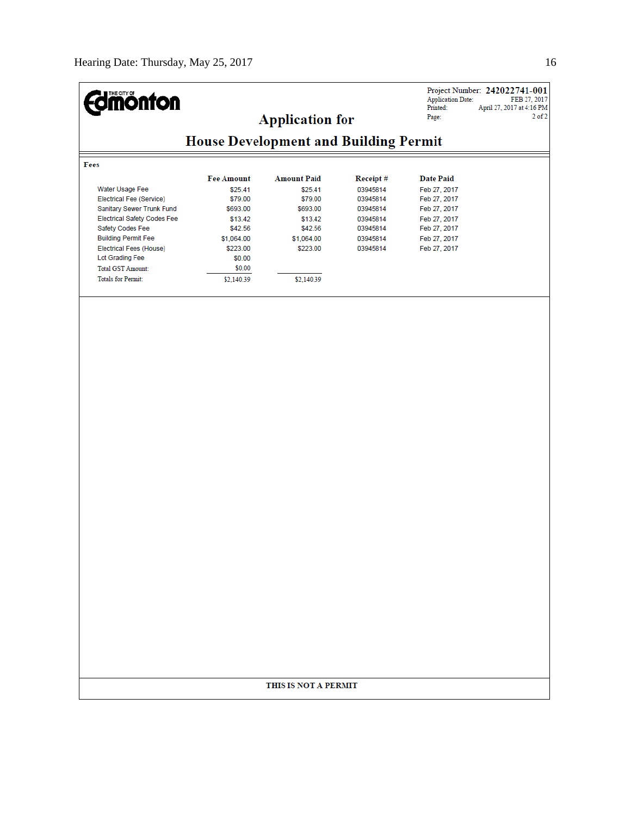Ξ

| <b>mónton</b>                      |                                              | <b>Application for</b> |          | <b>Application Date:</b><br>Printed:<br>Page: | Project Number: 242022741-001<br>FEB 27, 2017<br>April 27, 2017 at 4:16 PM<br>$2$ of $2$ |
|------------------------------------|----------------------------------------------|------------------------|----------|-----------------------------------------------|------------------------------------------------------------------------------------------|
|                                    | <b>House Development and Building Permit</b> |                        |          |                                               |                                                                                          |
| Fees                               |                                              |                        |          |                                               |                                                                                          |
|                                    | <b>Fee Amount</b>                            | <b>Amount Paid</b>     | Receipt# | <b>Date Paid</b>                              |                                                                                          |
| Water Usage Fee                    | \$25.41                                      | \$25.41                | 03945814 | Feb 27, 2017                                  |                                                                                          |
| Electrical Fee (Service)           | \$79.00                                      | \$79.00                | 03945814 | Feb 27, 2017                                  |                                                                                          |
| Sanitary Sewer Trunk Fund          | \$693.00                                     | \$693.00               | 03945814 | Feb 27, 2017                                  |                                                                                          |
| <b>Electrical Safety Codes Fee</b> | \$13.42                                      | \$13.42                | 03945814 | Feb 27, 2017                                  |                                                                                          |
| Safety Codes Fee                   | \$42.56                                      | \$42.56                | 03945814 | Feb 27, 2017                                  |                                                                                          |
| <b>Building Permit Fee</b>         | \$1,064.00                                   | \$1,064.00             | 03945814 | Feb 27, 2017                                  |                                                                                          |
| Electrical Fees (House)            | \$223.00                                     | \$223.00               | 03945814 | Feb 27, 2017                                  |                                                                                          |
| Lot Grading Fee                    | \$0.00                                       |                        |          |                                               |                                                                                          |
| <b>Total GST Amount:</b>           | \$0.00                                       |                        |          |                                               |                                                                                          |
| <b>Totals for Permit:</b>          | \$2,140.39                                   | \$2,140.39             |          |                                               |                                                                                          |
|                                    |                                              |                        |          |                                               |                                                                                          |
|                                    |                                              |                        |          |                                               |                                                                                          |
|                                    |                                              | THIS IS NOT A PERMIT   |          |                                               |                                                                                          |